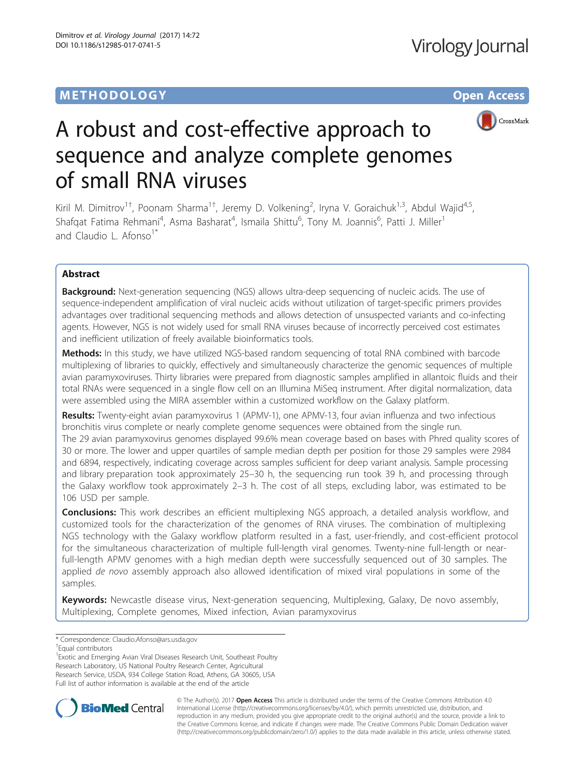# **METHODOLOGY CONSUMING ACCESS**



# A robust and cost-effective approach to sequence and analyze complete genomes of small RNA viruses

Kiril M. Dimitrov<sup>1†</sup>, Poonam Sharma<sup>1†</sup>, Jeremy D. Volkening<sup>2</sup>, Iryna V. Goraichuk<sup>1,3</sup>, Abdul Wajid<sup>4,5</sup>, Shafqat Fatima Rehmani<sup>4</sup>, Asma Basharat<sup>4</sup>, Ismaila Shittu<sup>6</sup>, Tony M. Joannis<sup>6</sup>, Patti J. Miller<sup>1</sup> and Claudio L. Afonso<sup>1\*</sup>

# Abstract

**Background:** Next-generation sequencing (NGS) allows ultra-deep sequencing of nucleic acids. The use of sequence-independent amplification of viral nucleic acids without utilization of target-specific primers provides advantages over traditional sequencing methods and allows detection of unsuspected variants and co-infecting agents. However, NGS is not widely used for small RNA viruses because of incorrectly perceived cost estimates and inefficient utilization of freely available bioinformatics tools.

Methods: In this study, we have utilized NGS-based random sequencing of total RNA combined with barcode multiplexing of libraries to quickly, effectively and simultaneously characterize the genomic sequences of multiple avian paramyxoviruses. Thirty libraries were prepared from diagnostic samples amplified in allantoic fluids and their total RNAs were sequenced in a single flow cell on an Illumina MiSeq instrument. After digital normalization, data were assembled using the MIRA assembler within a customized workflow on the Galaxy platform.

Results: Twenty-eight avian paramyxovirus 1 (APMV-1), one APMV-13, four avian influenza and two infectious bronchitis virus complete or nearly complete genome sequences were obtained from the single run. The 29 avian paramyxovirus genomes displayed 99.6% mean coverage based on bases with Phred quality scores of 30 or more. The lower and upper quartiles of sample median depth per position for those 29 samples were 2984 and 6894, respectively, indicating coverage across samples sufficient for deep variant analysis. Sample processing and library preparation took approximately 25–30 h, the sequencing run took 39 h, and processing through the Galaxy workflow took approximately 2–3 h. The cost of all steps, excluding labor, was estimated to be 106 USD per sample.

**Conclusions:** This work describes an efficient multiplexing NGS approach, a detailed analysis workflow, and customized tools for the characterization of the genomes of RNA viruses. The combination of multiplexing NGS technology with the Galaxy workflow platform resulted in a fast, user-friendly, and cost-efficient protocol for the simultaneous characterization of multiple full-length viral genomes. Twenty-nine full-length or nearfull-length APMV genomes with a high median depth were successfully sequenced out of 30 samples. The applied de novo assembly approach also allowed identification of mixed viral populations in some of the samples.

Keywords: Newcastle disease virus, Next-generation sequencing, Multiplexing, Galaxy, De novo assembly, Multiplexing, Complete genomes, Mixed infection, Avian paramyxovirus

<sup>1</sup> Exotic and Emerging Avian Viral Diseases Research Unit, Southeast Poultry Research Laboratory, US National Poultry Research Center, Agricultural Research Service, USDA, 934 College Station Road, Athens, GA 30605, USA Full list of author information is available at the end of the article



© The Author(s). 2017 **Open Access** This article is distributed under the terms of the Creative Commons Attribution 4.0 International License [\(http://creativecommons.org/licenses/by/4.0/](http://creativecommons.org/licenses/by/4.0/)), which permits unrestricted use, distribution, and reproduction in any medium, provided you give appropriate credit to the original author(s) and the source, provide a link to the Creative Commons license, and indicate if changes were made. The Creative Commons Public Domain Dedication waiver [\(http://creativecommons.org/publicdomain/zero/1.0/](http://creativecommons.org/publicdomain/zero/1.0/)) applies to the data made available in this article, unless otherwise stated.

<sup>\*</sup> Correspondence: [Claudio.Afonso@ars.usda.gov](mailto:Claudio.Afonso@ars.usda.gov) †

<sup>&</sup>lt;sup>T</sup>Equal contributors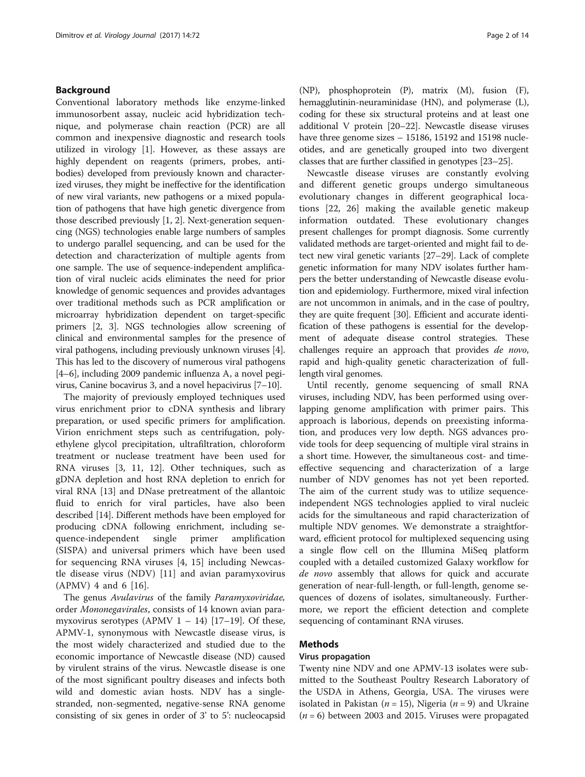# Background

Conventional laboratory methods like enzyme-linked immunosorbent assay, nucleic acid hybridization technique, and polymerase chain reaction (PCR) are all common and inexpensive diagnostic and research tools utilized in virology [[1](#page-11-0)]. However, as these assays are highly dependent on reagents (primers, probes, antibodies) developed from previously known and characterized viruses, they might be ineffective for the identification of new viral variants, new pathogens or a mixed population of pathogens that have high genetic divergence from those described previously [\[1](#page-11-0), [2](#page-11-0)]. Next-generation sequencing (NGS) technologies enable large numbers of samples to undergo parallel sequencing, and can be used for the detection and characterization of multiple agents from one sample. The use of sequence-independent amplification of viral nucleic acids eliminates the need for prior knowledge of genomic sequences and provides advantages over traditional methods such as PCR amplification or microarray hybridization dependent on target-specific primers [\[2](#page-11-0), [3\]](#page-11-0). NGS technologies allow screening of clinical and environmental samples for the presence of viral pathogens, including previously unknown viruses [[4](#page-11-0)]. This has led to the discovery of numerous viral pathogens [[4](#page-11-0)–[6](#page-11-0)], including 2009 pandemic influenza A, a novel pegivirus, Canine bocavirus 3, and a novel hepacivirus [\[7](#page-11-0)–[10\]](#page-11-0).

The majority of previously employed techniques used virus enrichment prior to cDNA synthesis and library preparation, or used specific primers for amplification. Virion enrichment steps such as centrifugation, polyethylene glycol precipitation, ultrafiltration, chloroform treatment or nuclease treatment have been used for RNA viruses [[3, 11, 12](#page-11-0)]. Other techniques, such as gDNA depletion and host RNA depletion to enrich for viral RNA [\[13](#page-11-0)] and DNase pretreatment of the allantoic fluid to enrich for viral particles, have also been described [[14](#page-11-0)]. Different methods have been employed for producing cDNA following enrichment, including sequence-independent single primer amplification (SISPA) and universal primers which have been used for sequencing RNA viruses [\[4](#page-11-0), [15\]](#page-11-0) including Newcastle disease virus (NDV) [[11](#page-11-0)] and avian paramyxovirus (APMV) 4 and 6 [\[16](#page-11-0)].

The genus Avulavirus of the family Paramyxoviridae, order Mononegavirales, consists of 14 known avian paramyxovirus serotypes (APMV  $1 - 14$ ) [\[17](#page-11-0)-[19\]](#page-11-0). Of these, APMV-1, synonymous with Newcastle disease virus, is the most widely characterized and studied due to the economic importance of Newcastle disease (ND) caused by virulent strains of the virus. Newcastle disease is one of the most significant poultry diseases and infects both wild and domestic avian hosts. NDV has a singlestranded, non-segmented, negative-sense RNA genome consisting of six genes in order of 3' to 5': nucleocapsid

(NP), phosphoprotein (P), matrix (M), fusion (F), hemagglutinin-neuraminidase (HN), and polymerase (L), coding for these six structural proteins and at least one additional V protein [[20](#page-12-0)–[22\]](#page-12-0). Newcastle disease viruses have three genome sizes – 15186, 15192 and 15198 nucleotides, and are genetically grouped into two divergent classes that are further classified in genotypes [[23](#page-12-0)–[25\]](#page-12-0).

Newcastle disease viruses are constantly evolving and different genetic groups undergo simultaneous evolutionary changes in different geographical locations [[22, 26\]](#page-12-0) making the available genetic makeup information outdated. These evolutionary changes present challenges for prompt diagnosis. Some currently validated methods are target-oriented and might fail to detect new viral genetic variants [\[27](#page-12-0)–[29](#page-12-0)]. Lack of complete genetic information for many NDV isolates further hampers the better understanding of Newcastle disease evolution and epidemiology. Furthermore, mixed viral infection are not uncommon in animals, and in the case of poultry, they are quite frequent [[30](#page-12-0)]. Efficient and accurate identification of these pathogens is essential for the development of adequate disease control strategies. These challenges require an approach that provides de novo, rapid and high-quality genetic characterization of fulllength viral genomes.

Until recently, genome sequencing of small RNA viruses, including NDV, has been performed using overlapping genome amplification with primer pairs. This approach is laborious, depends on preexisting information, and produces very low depth. NGS advances provide tools for deep sequencing of multiple viral strains in a short time. However, the simultaneous cost- and timeeffective sequencing and characterization of a large number of NDV genomes has not yet been reported. The aim of the current study was to utilize sequenceindependent NGS technologies applied to viral nucleic acids for the simultaneous and rapid characterization of multiple NDV genomes. We demonstrate a straightforward, efficient protocol for multiplexed sequencing using a single flow cell on the Illumina MiSeq platform coupled with a detailed customized Galaxy workflow for de novo assembly that allows for quick and accurate generation of near-full-length, or full-length, genome sequences of dozens of isolates, simultaneously. Furthermore, we report the efficient detection and complete sequencing of contaminant RNA viruses.

# Methods

# Virus propagation

Twenty nine NDV and one APMV-13 isolates were submitted to the Southeast Poultry Research Laboratory of the USDA in Athens, Georgia, USA. The viruses were isolated in Pakistan ( $n = 15$ ), Nigeria ( $n = 9$ ) and Ukraine  $(n = 6)$  between 2003 and 2015. Viruses were propagated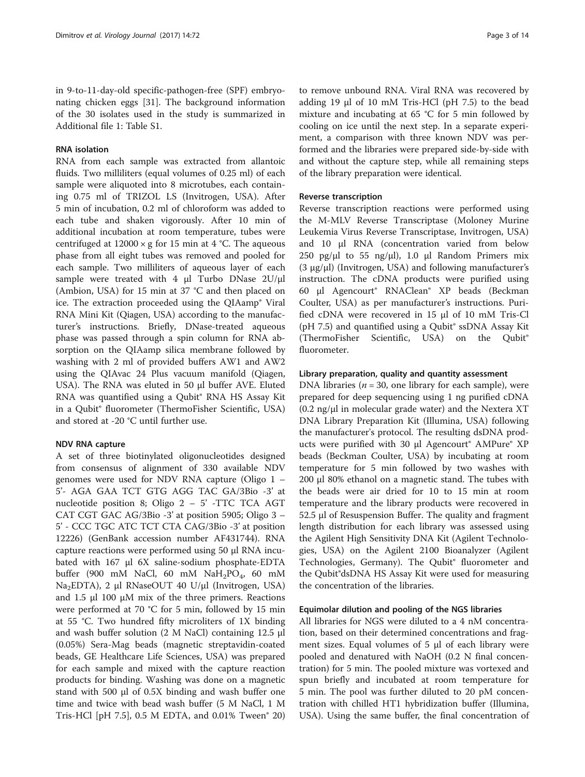in 9-to-11-day-old specific-pathogen-free (SPF) embryonating chicken eggs [[31](#page-12-0)]. The background information of the 30 isolates used in the study is summarized in Additional file [1:](#page-10-0) Table S1.

#### RNA isolation

RNA from each sample was extracted from allantoic fluids. Two milliliters (equal volumes of 0.25 ml) of each sample were aliquoted into 8 microtubes, each containing 0.75 ml of TRIZOL LS (Invitrogen, USA). After 5 min of incubation, 0.2 ml of chloroform was added to each tube and shaken vigorously. After 10 min of additional incubation at room temperature, tubes were centrifuged at  $12000 \times g$  for 15 min at 4 °C. The aqueous phase from all eight tubes was removed and pooled for each sample. Two milliliters of aqueous layer of each sample were treated with 4 μl Turbo DNase 2U/μl (Ambion, USA) for 15 min at 37 °C and then placed on ice. The extraction proceeded using the QIAamp® Viral RNA Mini Kit (Qiagen, USA) according to the manufacturer's instructions. Briefly, DNase-treated aqueous phase was passed through a spin column for RNA absorption on the QIAamp silica membrane followed by washing with 2 ml of provided buffers AW1 and AW2 using the QIAvac 24 Plus vacuum manifold (Qiagen, USA). The RNA was eluted in 50 μl buffer AVE. Eluted RNA was quantified using a Qubit® RNA HS Assay Kit in a Qubit® fluorometer (ThermoFisher Scientific, USA) and stored at -20 °C until further use.

#### NDV RNA capture

A set of three biotinylated oligonucleotides designed from consensus of alignment of 330 available NDV genomes were used for NDV RNA capture (Oligo 1 – 5'- AGA GAA TCT GTG AGG TAC GA/3Bio -3' at nucleotide position 8; Oligo 2 – 5' -TTC TCA AGT CAT CGT GAC AG/3Bio -3' at position 5905; Oligo 3 – 5' - CCC TGC ATC TCT CTA CAG/3Bio -3' at position 12226) (GenBank accession number AF431744). RNA capture reactions were performed using 50 μl RNA incubated with 167 μl 6X saline-sodium phosphate-EDTA buffer (900 mM NaCl, 60 mM  $NaH_2PO_4$ , 60 mM Na2EDTA), 2 μl RNaseOUT 40 U/μl (Invitrogen, USA) and 1.5 μl 100 μM mix of the three primers. Reactions were performed at 70 °C for 5 min, followed by 15 min at 55 °C. Two hundred fifty microliters of 1X binding and wash buffer solution (2 M NaCl) containing 12.5 μl (0.05%) Sera-Mag beads (magnetic streptavidin-coated beads, GE Healthcare Life Sciences, USA) was prepared for each sample and mixed with the capture reaction products for binding. Washing was done on a magnetic stand with 500 μl of 0.5X binding and wash buffer one time and twice with bead wash buffer (5 M NaCl, 1 M Tris-HCl [pH 7.5], 0.5 M EDTA, and 0.01% Tween $^{\circ}$  20)

to remove unbound RNA. Viral RNA was recovered by adding 19 μl of 10 mM Tris-HCl (pH 7.5) to the bead mixture and incubating at 65 °C for 5 min followed by cooling on ice until the next step. In a separate experiment, a comparison with three known NDV was performed and the libraries were prepared side-by-side with and without the capture step, while all remaining steps of the library preparation were identical.

## Reverse transcription

Reverse transcription reactions were performed using the M-MLV Reverse Transcriptase (Moloney Murine Leukemia Virus Reverse Transcriptase, Invitrogen, USA) and 10 μl RNA (concentration varied from below 250 pg/ $\mu$ l to 55 ng/ $\mu$ l), 1.0  $\mu$ l Random Primers mix (3 μg/μl) (Invitrogen, USA) and following manufacturer's instruction. The cDNA products were purified using 60 μl Agencourt® RNAClean® XP beads (Beckman Coulter, USA) as per manufacturer's instructions. Purified cDNA were recovered in 15 μl of 10 mM Tris-Cl (pH 7.5) and quantified using a Qubit® ssDNA Assay Kit (ThermoFisher Scientific, USA) on the Qubit® fluorometer.

#### Library preparation, quality and quantity assessment

DNA libraries ( $n = 30$ , one library for each sample), were prepared for deep sequencing using 1 ng purified cDNA (0.2 ng/μl in molecular grade water) and the Nextera XT DNA Library Preparation Kit (Illumina, USA) following the manufacturer's protocol. The resulting dsDNA products were purified with 30 μl Agencourt<sup>®</sup> AMPure<sup>®</sup> XP beads (Beckman Coulter, USA) by incubating at room temperature for 5 min followed by two washes with 200 μl 80% ethanol on a magnetic stand. The tubes with the beads were air dried for 10 to 15 min at room temperature and the library products were recovered in 52.5 μl of Resuspension Buffer. The quality and fragment length distribution for each library was assessed using the Agilent High Sensitivity DNA Kit (Agilent Technologies, USA) on the Agilent 2100 Bioanalyzer (Agilent Technologies, Germany). The Qubit<sup>®</sup> fluorometer and the Qubit®dsDNA HS Assay Kit were used for measuring the concentration of the libraries.

#### Equimolar dilution and pooling of the NGS libraries

All libraries for NGS were diluted to a 4 nM concentration, based on their determined concentrations and fragment sizes. Equal volumes of 5 μl of each library were pooled and denatured with NaOH (0.2 N final concentration) for 5 min. The pooled mixture was vortexed and spun briefly and incubated at room temperature for 5 min. The pool was further diluted to 20 pM concentration with chilled HT1 hybridization buffer (Illumina, USA). Using the same buffer, the final concentration of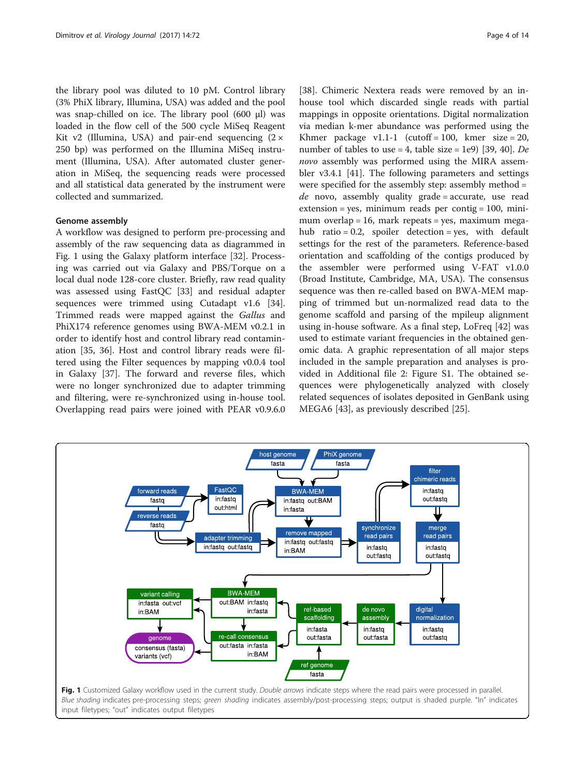the library pool was diluted to 10 pM. Control library (3% PhiX library, Illumina, USA) was added and the pool was snap-chilled on ice. The library pool (600 μl) was loaded in the flow cell of the 500 cycle MiSeq Reagent Kit v2 (Illumina, USA) and pair-end sequencing  $(2 \times$ 250 bp) was performed on the Illumina MiSeq instrument (Illumina, USA). After automated cluster generation in MiSeq, the sequencing reads were processed and all statistical data generated by the instrument were collected and summarized.

## Genome assembly

A workflow was designed to perform pre-processing and assembly of the raw sequencing data as diagrammed in Fig. 1 using the Galaxy platform interface [\[32](#page-12-0)]. Processing was carried out via Galaxy and PBS/Torque on a local dual node 128-core cluster. Briefly, raw read quality was assessed using FastQC [\[33](#page-12-0)] and residual adapter sequences were trimmed using Cutadapt v1.6 [\[34](#page-12-0)]. Trimmed reads were mapped against the Gallus and PhiX174 reference genomes using BWA-MEM v0.2.1 in order to identify host and control library read contamination [[35, 36](#page-12-0)]. Host and control library reads were filtered using the Filter sequences by mapping v0.0.4 tool in Galaxy [[37\]](#page-12-0). The forward and reverse files, which were no longer synchronized due to adapter trimming and filtering, were re-synchronized using in-house tool. Overlapping read pairs were joined with PEAR v0.9.6.0

[[38\]](#page-12-0). Chimeric Nextera reads were removed by an inhouse tool which discarded single reads with partial mappings in opposite orientations. Digital normalization via median k-mer abundance was performed using the Khmer package v1.1-1 (cutoff = 100, kmer size = 20, number of tables to use = 4, table size = 1e9) [[39, 40\]](#page-12-0). De novo assembly was performed using the MIRA assembler v3.4.1 [\[41](#page-12-0)]. The following parameters and settings were specified for the assembly step: assembly method =  $de$  novo, assembly quality grade = accurate, use read  $extension = yes$ , minimum reads per contig = 100, minimum overlap = 16, mark repeats = yes, maximum megahub ratio =  $0.2$ , spoiler detection = yes, with default settings for the rest of the parameters. Reference-based orientation and scaffolding of the contigs produced by the assembler were performed using V-FAT v1.0.0 (Broad Institute, Cambridge, MA, USA). The consensus sequence was then re-called based on BWA-MEM mapping of trimmed but un-normalized read data to the genome scaffold and parsing of the mpileup alignment using in-house software. As a final step, LoFreq [\[42](#page-12-0)] was used to estimate variant frequencies in the obtained genomic data. A graphic representation of all major steps included in the sample preparation and analyses is provided in Additional file [2:](#page-10-0) Figure S1. The obtained sequences were phylogenetically analyzed with closely related sequences of isolates deposited in GenBank using MEGA6 [[43](#page-12-0)], as previously described [\[25](#page-12-0)].

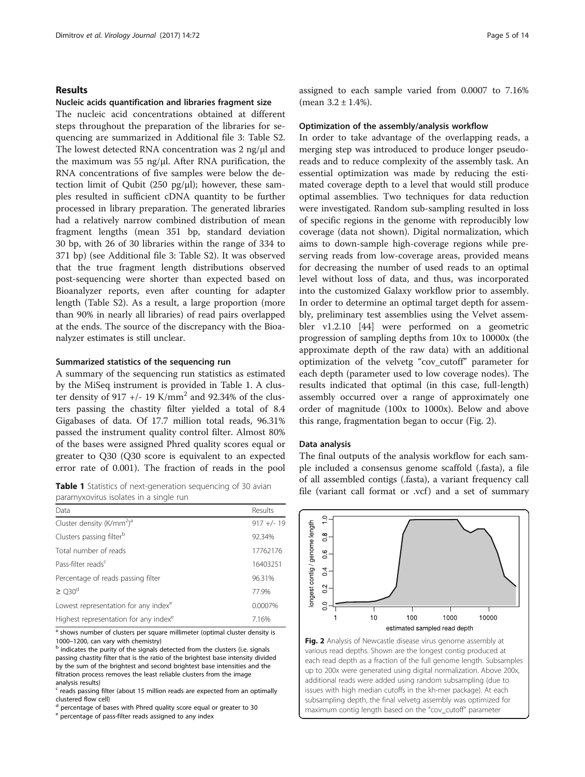#### Results

#### Nucleic acids quantification and libraries fragment size

The nucleic acid concentrations obtained at different steps throughout the preparation of the libraries for sequencing are summarized in Additional file [3:](#page-10-0) Table S2. The lowest detected RNA concentration was 2 ng/μl and the maximum was 55 ng/μl. After RNA purification, the RNA concentrations of five samples were below the detection limit of Qubit (250 pg/ $\mu$ l); however, these samples resulted in sufficient cDNA quantity to be further processed in library preparation. The generated libraries had a relatively narrow combined distribution of mean fragment lengths (mean 351 bp, standard deviation 30 bp, with 26 of 30 libraries within the range of 334 to 371 bp) (see Additional file [3](#page-10-0): Table S2). It was observed that the true fragment length distributions observed post-sequencing were shorter than expected based on Bioanalyzer reports, even after counting for adapter length (Table S2). As a result, a large proportion (more than 90% in nearly all libraries) of read pairs overlapped at the ends. The source of the discrepancy with the Bioanalyzer estimates is still unclear.

#### Summarized statistics of the sequencing run

A summary of the sequencing run statistics as estimated by the MiSeq instrument is provided in Table 1. A cluster density of 917 +/- 19 K/mm<sup>2</sup> and 92.34% of the clusters passing the chastity filter yielded a total of 8.4 Gigabases of data. Of 17.7 million total reads, 96.31% passed the instrument quality control filter. Almost 80% of the bases were assigned Phred quality scores equal or greater to Q30 (Q30 score is equivalent to an expected error rate of 0.001). The fraction of reads in the pool

paramyxovirus isolates in a single run

| Data                                              | Results      |
|---------------------------------------------------|--------------|
| Cluster density ( $K/mm2$ ) <sup>a</sup>          | $917 +/- 19$ |
| Clusters passing filter <sup>b</sup>              | 92.34%       |
| Total number of reads                             | 17762176     |
| Pass-filter reads <sup>c</sup>                    | 16403251     |
| Percentage of reads passing filter                | 96.31%       |
| $\geq$ 030 <sup>d</sup>                           | 77.9%        |
| Lowest representation for any index <sup>e</sup>  | 0.0007%      |
| Highest representation for any index <sup>e</sup> | 7.16%        |

<sup>a</sup> shows number of clusters per square millimeter (optimal cluster density is

1000–1200, can vary with chemistry)<br><sup>b</sup> indicates the purity of the signals detected from the clusters (i.e. signals passing chastity filter that is the ratio of the brightest base intensity divided by the sum of the brightest and second brightest base intensities and the filtration process removes the least reliable clusters from the image analysis results)

 $c$  reads passing filter (about 15 million reads are expected from an optimally clustered flow cell)

percentage of bases with Phred quality score equal or greater to 30

e percentage of pass-filter reads assigned to any index

assigned to each sample varied from 0.0007 to 7.16% (mean  $3.2 \pm 1.4\%$ ).

#### Optimization of the assembly/analysis workflow

In order to take advantage of the overlapping reads, a merging step was introduced to produce longer pseudoreads and to reduce complexity of the assembly task. An essential optimization was made by reducing the estimated coverage depth to a level that would still produce optimal assemblies. Two techniques for data reduction were investigated. Random sub-sampling resulted in loss of specific regions in the genome with reproducibly low coverage (data not shown). Digital normalization, which aims to down-sample high-coverage regions while preserving reads from low-coverage areas, provided means for decreasing the number of used reads to an optimal level without loss of data, and thus, was incorporated into the customized Galaxy workflow prior to assembly. In order to determine an optimal target depth for assembly, preliminary test assemblies using the Velvet assembler v1.2.10 [\[44](#page-12-0)] were performed on a geometric progression of sampling depths from 10x to 10000x (the approximate depth of the raw data) with an additional optimization of the velvetg "cov\_cutoff" parameter for each depth (parameter used to low coverage nodes). The results indicated that optimal (in this case, full-length) assembly occurred over a range of approximately one order of magnitude (100x to 1000x). Below and above this range, fragmentation began to occur (Fig. 2).

#### Data analysis

The final outputs of the analysis workflow for each sample included a consensus genome scaffold (.fasta), a file of all assembled contigs (.fasta), a variant frequency call Table 1 Statistics of next-generation sequencing of 30 avian<br>
file (variant call format or .vcf) and a set of summary



various read depths. Shown are the longest contig produced at each read depth as a fraction of the full genome length. Subsamples up to 200x were generated using digital normalization. Above 200x, additional reads were added using random subsampling (due to issues with high median cutoffs in the kh-mer package). At each subsampling depth, the final velvetg assembly was optimized for maximum contig length based on the "cov\_cutoff" parameter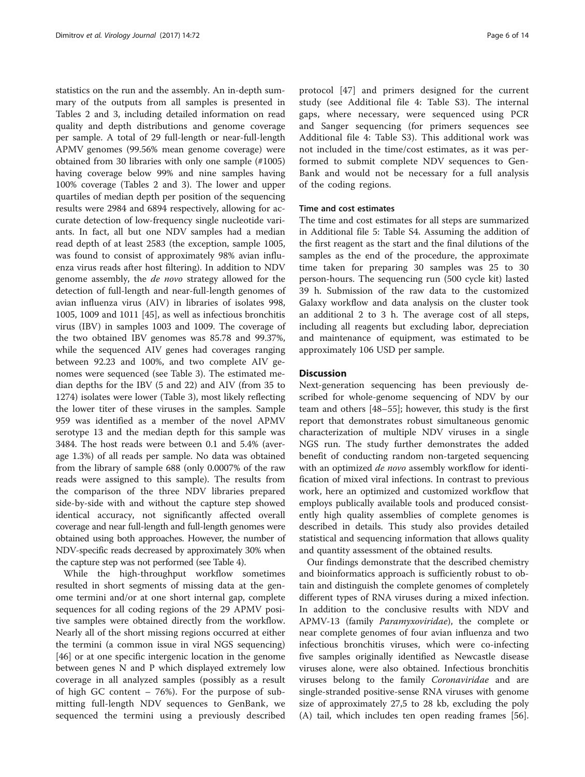statistics on the run and the assembly. An in-depth summary of the outputs from all samples is presented in Tables [2](#page-6-0) and [3](#page-7-0), including detailed information on read quality and depth distributions and genome coverage per sample. A total of 29 full-length or near-full-length APMV genomes (99.56% mean genome coverage) were obtained from 30 libraries with only one sample (#1005) having coverage below 99% and nine samples having 100% coverage (Tables [2](#page-6-0) and [3\)](#page-7-0). The lower and upper quartiles of median depth per position of the sequencing results were 2984 and 6894 respectively, allowing for accurate detection of low-frequency single nucleotide variants. In fact, all but one NDV samples had a median read depth of at least 2583 (the exception, sample 1005, was found to consist of approximately 98% avian influenza virus reads after host filtering). In addition to NDV genome assembly, the de novo strategy allowed for the detection of full-length and near-full-length genomes of avian influenza virus (AIV) in libraries of isolates 998, 1005, 1009 and 1011 [\[45](#page-12-0)], as well as infectious bronchitis virus (IBV) in samples 1003 and 1009. The coverage of the two obtained IBV genomes was 85.78 and 99.37%, while the sequenced AIV genes had coverages ranging between 92.23 and 100%, and two complete AIV genomes were sequenced (see Table [3\)](#page-7-0). The estimated median depths for the IBV (5 and 22) and AIV (from 35 to 1274) isolates were lower (Table [3](#page-7-0)), most likely reflecting the lower titer of these viruses in the samples. Sample 959 was identified as a member of the novel APMV serotype 13 and the median depth for this sample was 3484. The host reads were between 0.1 and 5.4% (average 1.3%) of all reads per sample. No data was obtained from the library of sample 688 (only 0.0007% of the raw reads were assigned to this sample). The results from the comparison of the three NDV libraries prepared side-by-side with and without the capture step showed identical accuracy, not significantly affected overall coverage and near full-length and full-length genomes were obtained using both approaches. However, the number of NDV-specific reads decreased by approximately 30% when the capture step was not performed (see Table [4\)](#page-9-0).

While the high-throughput workflow sometimes resulted in short segments of missing data at the genome termini and/or at one short internal gap, complete sequences for all coding regions of the 29 APMV positive samples were obtained directly from the workflow. Nearly all of the short missing regions occurred at either the termini (a common issue in viral NGS sequencing) [[46\]](#page-12-0) or at one specific intergenic location in the genome between genes N and P which displayed extremely low coverage in all analyzed samples (possibly as a result of high GC content – 76%). For the purpose of submitting full-length NDV sequences to GenBank, we sequenced the termini using a previously described

protocol [\[47](#page-12-0)] and primers designed for the current study (see Additional file [4](#page-10-0): Table S3). The internal gaps, where necessary, were sequenced using PCR and Sanger sequencing (for primers sequences see Additional file [4](#page-10-0): Table S3). This additional work was not included in the time/cost estimates, as it was performed to submit complete NDV sequences to Gen-Bank and would not be necessary for a full analysis of the coding regions.

## Time and cost estimates

The time and cost estimates for all steps are summarized in Additional file [5](#page-10-0): Table S4. Assuming the addition of the first reagent as the start and the final dilutions of the samples as the end of the procedure, the approximate time taken for preparing 30 samples was 25 to 30 person-hours. The sequencing run (500 cycle kit) lasted 39 h. Submission of the raw data to the customized Galaxy workflow and data analysis on the cluster took an additional 2 to 3 h. The average cost of all steps, including all reagents but excluding labor, depreciation and maintenance of equipment, was estimated to be approximately 106 USD per sample.

#### **Discussion**

Next-generation sequencing has been previously described for whole-genome sequencing of NDV by our team and others [[48](#page-12-0)–[55\]](#page-12-0); however, this study is the first report that demonstrates robust simultaneous genomic characterization of multiple NDV viruses in a single NGS run. The study further demonstrates the added benefit of conducting random non-targeted sequencing with an optimized *de novo* assembly workflow for identification of mixed viral infections. In contrast to previous work, here an optimized and customized workflow that employs publically available tools and produced consistently high quality assemblies of complete genomes is described in details. This study also provides detailed statistical and sequencing information that allows quality and quantity assessment of the obtained results.

Our findings demonstrate that the described chemistry and bioinformatics approach is sufficiently robust to obtain and distinguish the complete genomes of completely different types of RNA viruses during a mixed infection. In addition to the conclusive results with NDV and APMV-13 (family *Paramyxoviridae*), the complete or near complete genomes of four avian influenza and two infectious bronchitis viruses, which were co-infecting five samples originally identified as Newcastle disease viruses alone, were also obtained. Infectious bronchitis viruses belong to the family Coronaviridae and are single-stranded positive-sense RNA viruses with genome size of approximately 27,5 to 28 kb, excluding the poly (A) tail, which includes ten open reading frames [\[56](#page-12-0)].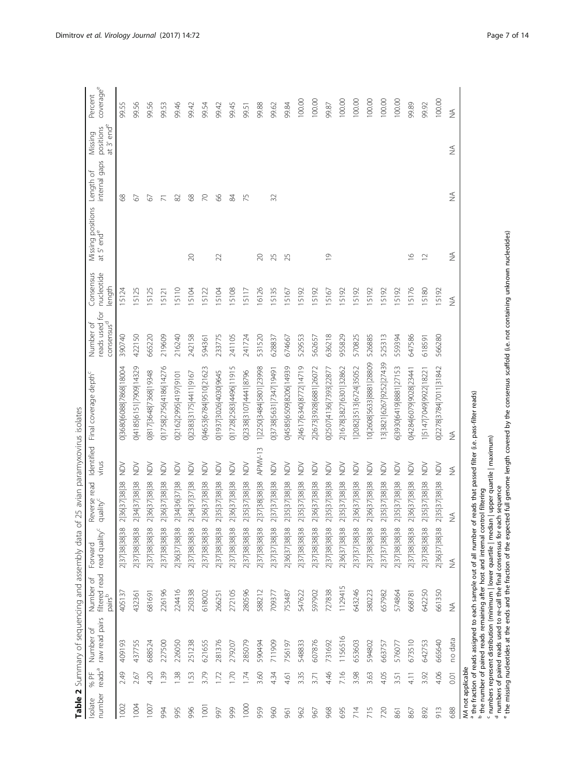|                   |                            | Table 2 Summary of sequencing and assembly data |                                                  |                                      | of 25 avian paramyxovirus isolates   |                     |                                   |                                                       |                                   |                                             |                            |                                                |                      |
|-------------------|----------------------------|-------------------------------------------------|--------------------------------------------------|--------------------------------------|--------------------------------------|---------------------|-----------------------------------|-------------------------------------------------------|-----------------------------------|---------------------------------------------|----------------------------|------------------------------------------------|----------------------|
| number<br>Isolate | reads <sup>a</sup><br>% PF | raw read pairs<br>Number of                     | filtered read<br>pairs <sup>b</sup><br>Number of | read quality <sup>c</sup><br>Forward | Reverse read<br>quality <sup>c</sup> | Identified<br>virus | Final coverage depth <sup>c</sup> | reads used for<br>consensus <sup>d</sup><br>Number of | Consensus<br>nucleotide<br>length | Missing positions<br>at 5' end <sup>e</sup> | internal gaps<br>Length of | at 3' end <sup>e</sup><br>positions<br>Missing | coveragee<br>Percent |
| 1002              | 2.49                       | 409193                                          | 405137                                           | 2 37 38 38 38                        | 2 36 37 38 38                        | š                   | 0 3680 6088 7868 18004            | 390740                                                | 15124                             |                                             | 89                         |                                                | 99.55                |
| 1004              | 2.67                       | 437755                                          | 432361                                           | 2 37 38 38 38                        | 2 34 37 38 38                        | š                   | 041856151790914329                | 422150                                                | 5125                              |                                             | 67                         |                                                | 99.56                |
| 1007              | 4.20                       | 688524                                          | 681691                                           | 2 37 38 38 38                        | 2 36 37 38 38                        | À                   | 0817 3648 7368 19348              | 665220                                                | 5125                              |                                             | 67                         |                                                | 99.56                |
| 994               | 1.39                       | 227500                                          | 226196                                           | 2 37 38 38 38                        | 2 36 37 38 38                        | <b>NO</b>           | 0 1758 2756 4186 14276            | 219609                                                | 5121                              |                                             |                            |                                                | 99.53                |
| 995               | 1.38                       | 226050                                          | 224416                                           | 2 36 37 38 38                        | 2 34 36 37 38                        | $\geq$              | 021622995 4197 9101               | 216240                                                | 15110                             |                                             | 82                         |                                                | 99.46                |
| 996               | 1.53                       | 251238                                          | 250338                                           | 2 37 38 38 38                        | 2 34 37 37 38                        | ð<br>N              | 0 2383 3175 4411 9167             | 242158                                                | 5104                              | 20                                          | 89                         |                                                | 99.42                |
| 1001              | 3.79                       | 621655                                          | 618002                                           | 2 37 38 38 38                        | 2 36 37 38 38                        | <b>NO</b>           | 0 4653 6784 9510 21623            | 594361                                                | 5122                              |                                             | $\overline{C}$             |                                                | 99.54                |
| 997               | 1.72                       | 281376                                          | 266251                                           | 2 37 38 38 38                        | 2 35 37 38 38                        | <b>NO</b>           | 0 1937 3026 4030 9645             | 233775                                                | 5104                              | 22                                          | 66                         |                                                | 99.42                |
| 999               | 1.70                       | 279207                                          | 272105                                           | 2 37 38 38 38                        | 2 36 37 38 38                        | $\geq$              | 0 1728 2583 4496 11915            | 241105                                                | 5108                              |                                             | 84                         |                                                | 99.45                |
| 1000              | 1.74                       | 285079                                          | 280596                                           | 2 37 38 38 38                        | 2 35 37 38 38                        | <b>NO</b>           | 0 2338 3107 4441 8796             | 241724                                                | 5117                              |                                             | 75                         |                                                | 99.51                |
| 959               | 3.60                       | 590494                                          | 588212                                           | 2 37 38 38 38                        | 2 37 38 38 38                        | APMV-13             | 1 2250 3484 5801 23998            | 531520                                                | 16126                             | 20                                          |                            |                                                | 99.88                |
| 960               | 434                        | 711909                                          | 709377                                           | 2 37 37 38 38                        | 2 37 37 38 38                        | $\geq$              | 0 3738 5631 7347 19491            | 628837                                                | 15135                             | 25                                          | 32                         |                                                | 99.62                |
| 961               | 4.61                       | 756197                                          | 753487                                           | 2 36 37 38 38                        | 2 35 37 38 38                        | <b>NO</b>           | 045856509820614939                | 674667                                                | 5167                              | 25                                          |                            |                                                | 99.84                |
| 962               | 3.35                       | 548833                                          | 547622                                           | 2 37 38 38 38                        | 2 35 37 38 38                        | <b>NO</b>           | 246176340877214719                | 529553                                                | 15192                             |                                             |                            |                                                | 100.00               |
| 967               | 3.71                       | 607876                                          | 597902                                           | 2 37 38 38 38                        | 2 36 37 38 38                        | $\geq$              | 2 2673 3928 6881 26072            | 562657                                                | 15192                             |                                             |                            |                                                | 100.00               |
| 968               | 4.46                       | 731692                                          | 727838                                           | 2 37 38 38 38                        | 2 35 37 38 38                        | λğ                  | 0 250 7 413 6 73 93 22877         | 636218                                                | 5167                              | $\overline{0}$                              |                            |                                                | 99.87                |
| 695               | 7.16                       | 1156516                                         | 1129415                                          | 2 36 37 38 38                        | 2 35 37 38 38                        | <b>NON</b>          | 2 1678 3827 6301 32862            | 955829                                                | 15192                             |                                             |                            |                                                | 100.00               |
| 714               | 3.98                       | 653603                                          | 643246                                           | 2 37 37 38 38                        | 2 36 37 38 38                        | À                   | 1 2082 3513 6724 35052            | 570825                                                | 15192                             |                                             |                            |                                                | 100.00               |
| 715               | 3.63                       | 594802                                          | 580223                                           | 2 37 38 38 38                        | 2 36 37 38 38                        | <b>NO</b>           | 0 2608 5633 8881 28809            | 526885                                                | 15192                             |                                             |                            |                                                | 100.00               |
| 720               | 4.05                       | 663757                                          | 657982                                           | 2 37 37 38 38                        | 2 35 37 38 38                        | <b>NON</b>          | 3 3821 6267 9252 27439            | 525313                                                | 15192                             |                                             |                            |                                                | 100.00               |
| 861               | 3.51                       | 576077                                          | 574864                                           | 2 37 38 38 38                        | 2 35 37 38 38                        | š                   | 6 3930 6419 8881 27153            | 559394                                                | 15192                             |                                             |                            |                                                | 100.00               |
| 867               | 4.1                        | 673510                                          | 668781                                           | 2 37 38 38 38                        | 2 36 37 38 38                        | NO <sub>N</sub>     | 0 4284 6079 9028 23441            | 647586                                                | 15176                             | $\frac{8}{1}$                               |                            |                                                | 99.89                |
| 892               | 3.92                       | 642753                                          | 642250                                           | 2 37 38 38 38                        | 2 35 37 38 38                        | $\geq$              | 15147 7049 9922 1822              | 618591                                                | 15180                             | $\supseteq$                                 |                            |                                                | 99.92                |
| 913               | 4.06                       | 665640                                          | 661350                                           | 2 36 37 38 38                        | 2 35 37 38 38                        | š                   | 0 2278 3784 7011 31842            | 566280                                                | 15192                             |                                             |                            |                                                | 100.00               |
| 688               | 0.01                       | no data                                         | $\stackrel{\triangle}{\geq}$                     | $\stackrel{\triangle}{\geq}$         | $\lessgtr$                           | $\lessapprox$       | $\lessapprox$                     |                                                       | $\lessgtr$                        | $\lessgtr$                                  | $\frac{4}{2}$              | $\lessgtr$                                     | $\lessapprox$        |

<span id="page-6-0"></span>

NA not applicable

the fraction of reads assigned to each sample out of all number of reads that passed filter (i.e. pass-filter reads)

the number of paired reads remaining after host and internal control filtering

numbers represent distribution (minimum | lower quartile | median | upper quartile | maximum)

abcdenumbers of paired reads used to re-call the final consensus for each sequence

the missing nucleotides at the ends and the fraction of the expected full genome length covered by the consensus scaffold (i.e. not containing unknown nucleotides)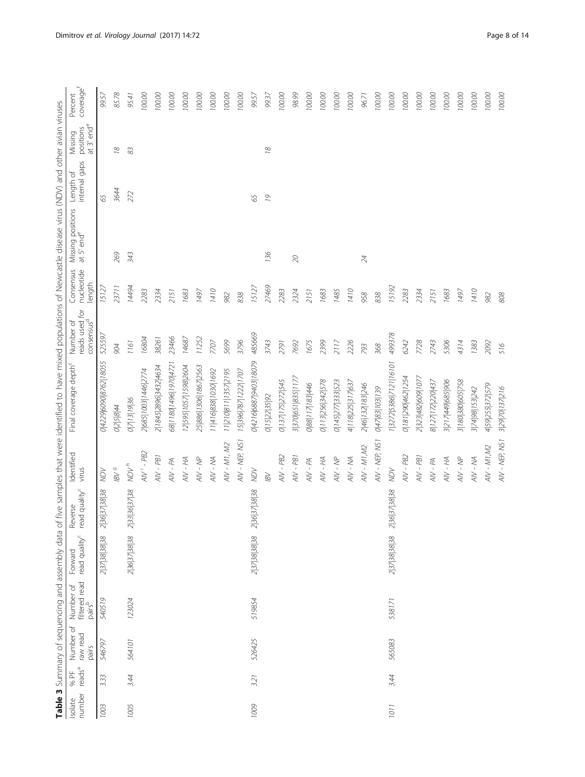<span id="page-7-0"></span>

|                                                                                                                                                                         | coveragef<br>Percent                                                      | 99.57                            | 85.78          | 95.41         | 100.00              | 100.00                | 100.00                       | 100.00                | 100.00                | 100.00               | 100.00               | $100.00$             | 99.57                            | 99.37         | 100.00            | 98.99              | 100.00         | 100.00            | 100.00            | 100.00            | 96.71            | 100.00         | 100.00                           | 100.00             | 100.00             | 100.00            | 100.00            | 100.00            | $100.00$        | 100.00           | $100.00$        |
|-------------------------------------------------------------------------------------------------------------------------------------------------------------------------|---------------------------------------------------------------------------|----------------------------------|----------------|---------------|---------------------|-----------------------|------------------------------|-----------------------|-----------------------|----------------------|----------------------|----------------------|----------------------------------|---------------|-------------------|--------------------|----------------|-------------------|-------------------|-------------------|------------------|----------------|----------------------------------|--------------------|--------------------|-------------------|-------------------|-------------------|-----------------|------------------|-----------------|
|                                                                                                                                                                         | at $3'$ end <sup>e</sup><br>positions<br>Missing                          |                                  | $\frac{8}{2}$  | $83$          |                     |                       |                              |                       |                       |                      |                      |                      |                                  | 18            |                   |                    |                |                   |                   |                   |                  |                |                                  |                    |                    |                   |                   |                   |                 |                  |                 |
|                                                                                                                                                                         | internal gaps<br>đ<br>Length                                              | 65                               | 3644           | 272           |                     |                       |                              |                       |                       |                      |                      |                      | 65                               | 19            |                   |                    |                |                   |                   |                   |                  |                |                                  |                    |                    |                   |                   |                   |                 |                  |                 |
|                                                                                                                                                                         | Missing positions<br>at 5' end <sup>e</sup>                               |                                  | 269            | 343           |                     |                       |                              |                       |                       |                      |                      |                      |                                  | 136           |                   | $\infty$           |                |                   |                   |                   | 24               |                |                                  |                    |                    |                   |                   |                   |                 |                  |                 |
|                                                                                                                                                                         | Consensus<br>nucleotide<br>length                                         | 15127                            | 23711          | 14494         | 2283                | 2334                  | 2151                         | 1683                  | 1497                  | 1410                 | 982                  | 838                  | 15127                            | 27469         | 2283              | 2324               | 2151           | 1683              | 1485              | 1410              | 958              | 838            | 15192                            | 2283               | 2334               | 2151              | 1683              | 1497              | 1410            | 982              | 808             |
|                                                                                                                                                                         | $\tilde{\mathbb{Q}}$<br>consensus <sup>d</sup><br>reads used<br>Number of | 525597                           | 904            | 1161          | 16804               | 38261                 | 23466                        | 14687                 | 11252                 | 7707                 | 5699                 | 3796                 | 485669                           | 3743          | 2791              | 7692               | 1675           | 2399              | 2117              | 2226              | 793              | 368            | 499378                           | 6242               | 7728               | 2743              | 5306              | 4314              | 1383            | 2092             | 516             |
| Table 3 Summary of sequencing and assembly data of five samples that were identified to have mixed populations of Newcastle disease virus (NDV) and other avian viruses | Final coverage depth <sup>c</sup>                                         | 0 4229 6090 8762 18055           | 025844         | 0 7 13 19 36  | 2685 1003 1446 2774 | 2 1845 2896 3432 4634 | 58   180   1496   1970   472 | 12 595 1057 1598 2604 | 25 886 1306 1867 2563 | 11 416 838 1030 1692 | 11 210 811 1357 2195 | 15 396 787 1222 1707 | 0 4216 6887 9403 18079           | 0 15 22 35 92 | 0 137 175 272 545 | 3 370 651 835 117. | 088 17 183 446 | 0 113 256 342 578 | 0 145 277 333 523 | 4 118 225 317 637 | 2 46 132 183 246 | 04783103139    | 1 3272 5386 7121 16101           | 0 181 290 462 1254 | 2 323 482 609 1077 | 8 127 172 220 437 | 3 217 449 685 906 | 3 180 380 605 758 | 3 74 98 153 242 | 459 255 372 579  | 3 29 70 137 216 |
|                                                                                                                                                                         | Identified<br>virus                                                       | NON                              | $_{\rm B}$ /8l | $_{\nu}$ /ON  | $AW' - PB2$         | $AW - PB1$            | $AV - PA$                    | HH - NA               | $AV - NP$             | AIV - NA             | $AV - MI, M2$        | AIV - NEP, NSI       | NON                              | $\otimes$     | $AV - PB2$        | $AW - PB1$         | $AV - PM$      | HH - NA           | $AN - NP$         | $AN - NA$         | $AV - MI$ , M2   | AIV - NEP, NS1 | $\sqrt{Q}N$                      | $AN - PB2$         | $AV - PB1$         | $AV - PA$         | $AN - MA$         | $AN - NP$         | $AN - WA$       | $AV - MI$ , $M2$ | AIV - NEP, NS1  |
|                                                                                                                                                                         | read quality <sup>c</sup><br>Reverse                                      | 36 37 38 38<br>$\overline{\sim}$ |                | 2 33 36 37 38 |                     |                       |                              |                       |                       |                      |                      |                      | 36 37 38 38<br>$\overline{\sim}$ |               |                   |                    |                |                   |                   |                   |                  |                | 36 37 38 38<br>$\overline{\sim}$ |                    |                    |                   |                   |                   |                 |                  |                 |
|                                                                                                                                                                         | read quality <sup>c</sup><br>Forward                                      | 2 37 38 38 38                    |                | 2 36 37 38 38 |                     |                       |                              |                       |                       |                      |                      |                      | 2 37 38 38 38                    |               |                   |                    |                |                   |                   |                   |                  |                | 2 37 38 38 38                    |                    |                    |                   |                   |                   |                 |                  |                 |
|                                                                                                                                                                         | filtered read<br>pairs <sup>b</sup><br>Number of                          | 540519                           |                | 123024        |                     |                       |                              |                       |                       |                      |                      |                      | 519854                           |               |                   |                    |                |                   |                   |                   |                  |                | 538171                           |                    |                    |                   |                   |                   |                 |                  |                 |
|                                                                                                                                                                         | Number of<br>raw read<br>pairs                                            | 546797                           |                | 564101        |                     |                       |                              |                       |                       |                      |                      |                      | 526425                           |               |                   |                    |                |                   |                   |                   |                  |                | 565083                           |                    |                    |                   |                   |                   |                 |                  |                 |
|                                                                                                                                                                         | reads <sup>a</sup><br>% PF                                                | 3.33                             |                | 3.44          |                     |                       |                              |                       |                       |                      |                      |                      | 3.21                             |               |                   |                    |                |                   |                   |                   |                  |                | 3.44                             |                    |                    |                   |                   |                   |                 |                  |                 |
|                                                                                                                                                                         | number<br>Isolate                                                         | 1003                             |                | 1005          |                     |                       |                              |                       |                       |                      |                      |                      | 1009                             |               |                   |                    |                |                   |                   |                   |                  |                | 1011                             |                    |                    |                   |                   |                   |                 |                  |                 |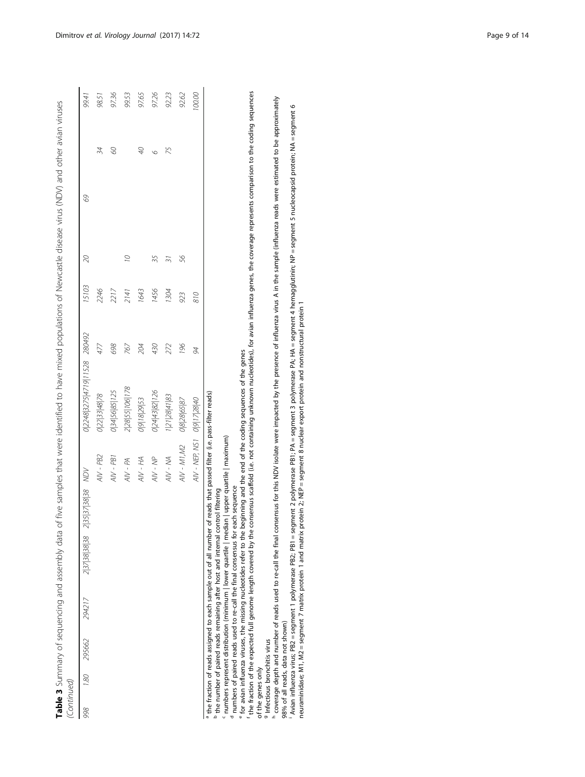| (Continued) |                    |               |                   |                               | Table 3 Summary of sequencing and assembly data of five samples that were identified to have mixed populations of Newcastle disease virus (NDV) and other avian viruses |     |       |                |    |        |
|-------------|--------------------|---------------|-------------------|-------------------------------|-------------------------------------------------------------------------------------------------------------------------------------------------------------------------|-----|-------|----------------|----|--------|
| 998         | 1.80 295662 294217 | 2 37 38 38 38 | 2 35 37 38 38 MDV |                               | 0 2248 3275 4719 11528 280492                                                                                                                                           |     | 15103 | 20             | 69 | 99.41  |
|             |                    |               |                   | AIV - PB2                     | 0 22 33 48 78                                                                                                                                                           | 477 | 2246  |                | 34 | 98.51  |
|             |                    |               |                   | $AW - PB1$                    | 0345685125                                                                                                                                                              | 698 | 2217  |                | 8  | 97.36  |
|             |                    |               |                   | $AV - PA$                     | 2 28 55 106 178                                                                                                                                                         | 767 | 2141  | $\overline{O}$ |    | 99.53  |
|             |                    |               |                   | HH - NA                       | 0 9 18 29 53                                                                                                                                                            | 204 | 1643  |                | 9P | 97.65  |
|             |                    |               |                   | $AV - NP$                     | 0 24 43 82 126                                                                                                                                                          | 430 | 1456  |                |    | 97.26  |
|             |                    |               |                   | AIV - NA                      | 1 21 28 41 83                                                                                                                                                           | 272 | 1304  |                | 75 | 92.23  |
|             |                    |               |                   | $AV - MI$ , $M2$              | 08286587                                                                                                                                                                | 96  | 923   | 56             |    | 92.62  |
|             |                    |               |                   | $AN - NEP$ , NS1 $O 17 28 40$ |                                                                                                                                                                         | 94  | 810   |                |    | 100.00 |

the fraction of reads assigned to each sample out of all number of reads that passed filter (i.e. pass-filter reads) the fraction of reads assigned to each sample out of all number of reads that passed filter (i.e. pass-filter reads)

the number of paired reads remaining after host and internal control filtering

ے ص numbers represent distribution (minimum | lower quartile | median | upper quartile | maximum)

numbers of paired reads used to re-call the final consensus for each sequence

def

for avian influenza viruses, the missing nucleotides refer to the beginning and the end of the coding sequences of the genes

 the fraction of the expected full genome length covered by the consensus scaffold (i.e. not containing unknown nucleotides), for avian influenza genes, the coverage represents comparison to the coding sequences of the genes only

<sup>9</sup> Infectious bronchitis virus

o con con con con coverage depth and number of reads used to re-call the final consensus for this NDV isolate were impacted by the presence of influenza virus A in the sample (influenza reads were estimated to be approximately 98% of all reads, data not shown)

 Avian influenza virus; PB2 = segment 1 polymerase PB2; PB1 = segment 2 polymerase PB1; PA = segment 3 polymerase PA; HA = segment 4 hemagglutinin; NP = segment 5 nucleocapsid protein; NA = segment 6 neuraminidase; M1, M2 = segment 7 matrix protein 1 and matrix protein 2; NEP = segment 8 nuclear export protein and nonstructural protein 1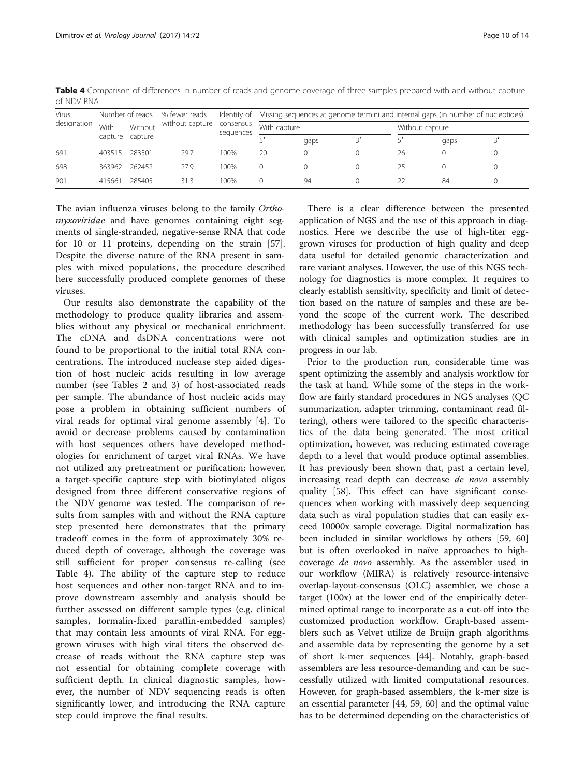| <b>Virus</b> |         | Number of reads | % fewer reads   |                        |              | Identity of Missing sequences at genome termini and internal gaps (in number of nucleotides) |                 |      |  |
|--------------|---------|-----------------|-----------------|------------------------|--------------|----------------------------------------------------------------------------------------------|-----------------|------|--|
| designation  | With    | Without         | without capture | consensus<br>sequences | With capture |                                                                                              | Without capture |      |  |
|              | capture | capture         |                 |                        |              | gaps                                                                                         |                 | gaps |  |
| 691          | 403515  | 283501          | 29.7            | 100%                   | 20           |                                                                                              | 26              |      |  |
| 698          | 363962  | 262452          | 27.9            | 100%                   |              |                                                                                              | 25              |      |  |
| 901          | 415661  | 285405          | 31.3            | 100%                   |              | 94                                                                                           |                 | 84   |  |

<span id="page-9-0"></span>Table 4 Comparison of differences in number of reads and genome coverage of three samples prepared with and without capture of NDV RNA

The avian influenza viruses belong to the family Orthomyxoviridae and have genomes containing eight segments of single-stranded, negative-sense RNA that code for 10 or 11 proteins, depending on the strain [\[57](#page-12-0)]. Despite the diverse nature of the RNA present in samples with mixed populations, the procedure described here successfully produced complete genomes of these viruses.

Our results also demonstrate the capability of the methodology to produce quality libraries and assemblies without any physical or mechanical enrichment. The cDNA and dsDNA concentrations were not found to be proportional to the initial total RNA concentrations. The introduced nuclease step aided digestion of host nucleic acids resulting in low average number (see Tables [2](#page-6-0) and [3\)](#page-7-0) of host-associated reads per sample. The abundance of host nucleic acids may pose a problem in obtaining sufficient numbers of viral reads for optimal viral genome assembly [[4\]](#page-11-0). To avoid or decrease problems caused by contamination with host sequences others have developed methodologies for enrichment of target viral RNAs. We have not utilized any pretreatment or purification; however, a target-specific capture step with biotinylated oligos designed from three different conservative regions of the NDV genome was tested. The comparison of results from samples with and without the RNA capture step presented here demonstrates that the primary tradeoff comes in the form of approximately 30% reduced depth of coverage, although the coverage was still sufficient for proper consensus re-calling (see Table 4). The ability of the capture step to reduce host sequences and other non-target RNA and to improve downstream assembly and analysis should be further assessed on different sample types (e.g. clinical samples, formalin-fixed paraffin-embedded samples) that may contain less amounts of viral RNA. For egggrown viruses with high viral titers the observed decrease of reads without the RNA capture step was not essential for obtaining complete coverage with sufficient depth. In clinical diagnostic samples, however, the number of NDV sequencing reads is often significantly lower, and introducing the RNA capture step could improve the final results.

There is a clear difference between the presented application of NGS and the use of this approach in diagnostics. Here we describe the use of high-titer egggrown viruses for production of high quality and deep data useful for detailed genomic characterization and rare variant analyses. However, the use of this NGS technology for diagnostics is more complex. It requires to clearly establish sensitivity, specificity and limit of detection based on the nature of samples and these are beyond the scope of the current work. The described methodology has been successfully transferred for use with clinical samples and optimization studies are in progress in our lab.

Prior to the production run, considerable time was spent optimizing the assembly and analysis workflow for the task at hand. While some of the steps in the workflow are fairly standard procedures in NGS analyses (QC summarization, adapter trimming, contaminant read filtering), others were tailored to the specific characteristics of the data being generated. The most critical optimization, however, was reducing estimated coverage depth to a level that would produce optimal assemblies. It has previously been shown that, past a certain level, increasing read depth can decrease de novo assembly quality [\[58\]](#page-13-0). This effect can have significant consequences when working with massively deep sequencing data such as viral population studies that can easily exceed 10000x sample coverage. Digital normalization has been included in similar workflows by others [[59, 60](#page-13-0)] but is often overlooked in naïve approaches to highcoverage de novo assembly. As the assembler used in our workflow (MIRA) is relatively resource-intensive overlap-layout-consensus (OLC) assembler, we chose a target (100x) at the lower end of the empirically determined optimal range to incorporate as a cut-off into the customized production workflow. Graph-based assemblers such as Velvet utilize de Bruijn graph algorithms and assemble data by representing the genome by a set of short k-mer sequences [[44\]](#page-12-0). Notably, graph-based assemblers are less resource-demanding and can be successfully utilized with limited computational resources. However, for graph-based assemblers, the k-mer size is an essential parameter [[44,](#page-12-0) [59, 60\]](#page-13-0) and the optimal value has to be determined depending on the characteristics of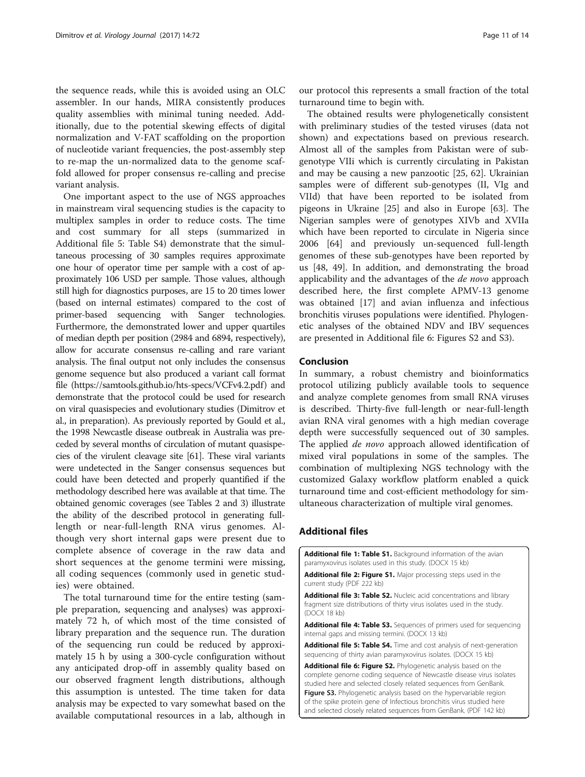<span id="page-10-0"></span>the sequence reads, while this is avoided using an OLC assembler. In our hands, MIRA consistently produces quality assemblies with minimal tuning needed. Additionally, due to the potential skewing effects of digital normalization and V-FAT scaffolding on the proportion of nucleotide variant frequencies, the post-assembly step to re-map the un-normalized data to the genome scaffold allowed for proper consensus re-calling and precise variant analysis.

One important aspect to the use of NGS approaches in mainstream viral sequencing studies is the capacity to multiplex samples in order to reduce costs. The time and cost summary for all steps (summarized in Additional file 5: Table S4) demonstrate that the simultaneous processing of 30 samples requires approximate one hour of operator time per sample with a cost of approximately 106 USD per sample. Those values, although still high for diagnostics purposes, are 15 to 20 times lower (based on internal estimates) compared to the cost of primer-based sequencing with Sanger technologies. Furthermore, the demonstrated lower and upper quartiles of median depth per position (2984 and 6894, respectively), allow for accurate consensus re-calling and rare variant analysis. The final output not only includes the consensus genome sequence but also produced a variant call format file [\(https://samtools.github.io/hts-specs/VCFv4.2.pdf](https://samtools.github.io/hts-specs/VCFv4.2.pdf)) and demonstrate that the protocol could be used for research on viral quasispecies and evolutionary studies (Dimitrov et al., in preparation). As previously reported by Gould et al., the 1998 Newcastle disease outbreak in Australia was preceded by several months of circulation of mutant quasispecies of the virulent cleavage site [\[61\]](#page-13-0). These viral variants were undetected in the Sanger consensus sequences but could have been detected and properly quantified if the methodology described here was available at that time. The obtained genomic coverages (see Tables [2](#page-6-0) and [3\)](#page-7-0) illustrate the ability of the described protocol in generating fulllength or near-full-length RNA virus genomes. Although very short internal gaps were present due to complete absence of coverage in the raw data and short sequences at the genome termini were missing, all coding sequences (commonly used in genetic studies) were obtained.

The total turnaround time for the entire testing (sample preparation, sequencing and analyses) was approximately 72 h, of which most of the time consisted of library preparation and the sequence run. The duration of the sequencing run could be reduced by approximately 15 h by using a 300-cycle configuration without any anticipated drop-off in assembly quality based on our observed fragment length distributions, although this assumption is untested. The time taken for data analysis may be expected to vary somewhat based on the available computational resources in a lab, although in

our protocol this represents a small fraction of the total turnaround time to begin with.

The obtained results were phylogenetically consistent with preliminary studies of the tested viruses (data not shown) and expectations based on previous research. Almost all of the samples from Pakistan were of subgenotype VIIi which is currently circulating in Pakistan and may be causing a new panzootic [\[25](#page-12-0), [62](#page-13-0)]. Ukrainian samples were of different sub-genotypes (II, VIg and VIId) that have been reported to be isolated from pigeons in Ukraine [\[25\]](#page-12-0) and also in Europe [\[63](#page-13-0)]. The Nigerian samples were of genotypes XIVb and XVIIa which have been reported to circulate in Nigeria since 2006 [[64\]](#page-13-0) and previously un-sequenced full-length genomes of these sub-genotypes have been reported by us [[48, 49\]](#page-12-0). In addition, and demonstrating the broad applicability and the advantages of the de novo approach described here, the first complete APMV-13 genome was obtained [[17](#page-11-0)] and avian influenza and infectious bronchitis viruses populations were identified. Phylogenetic analyses of the obtained NDV and IBV sequences are presented in Additional file 6: Figures S2 and S3).

## Conclusion

In summary, a robust chemistry and bioinformatics protocol utilizing publicly available tools to sequence and analyze complete genomes from small RNA viruses is described. Thirty-five full-length or near-full-length avian RNA viral genomes with a high median coverage depth were successfully sequenced out of 30 samples. The applied *de novo* approach allowed identification of mixed viral populations in some of the samples. The combination of multiplexing NGS technology with the customized Galaxy workflow platform enabled a quick turnaround time and cost-efficient methodology for simultaneous characterization of multiple viral genomes.

# Additional files

[Additional file 1: Table S1.](dx.doi.org/10.1186/s12985-017-0741-5) Background information of the avian paramyxovirus isolates used in this study. (DOCX 15 kb)

[Additional file 2: Figure S1.](dx.doi.org/10.1186/s12985-017-0741-5) Major processing steps used in the current study (PDF 222 kb)

[Additional file 3: Table S2.](dx.doi.org/10.1186/s12985-017-0741-5) Nucleic acid concentrations and library fragment size distributions of thirty virus isolates used in the study. (DOCX 18 kb)

[Additional file 4: Table S3.](dx.doi.org/10.1186/s12985-017-0741-5) Sequences of primers used for sequencing internal gaps and missing termini. (DOCX 13 kb)

[Additional file 5: Table S4.](dx.doi.org/10.1186/s12985-017-0741-5) Time and cost analysis of next-generation sequencing of thirty avian paramyxovirus isolates. (DOCX 15 kb)

[Additional file 6: Figure S2.](dx.doi.org/10.1186/s12985-017-0741-5) Phylogenetic analysis based on the complete genome coding sequence of Newcastle disease virus isolates studied here and selected closely related sequences from GenBank. Figure S3. Phylogenetic analysis based on the hypervariable region of the spike protein gene of Infectious bronchitis virus studied here and selected closely related sequences from GenBank. (PDF 142 kb)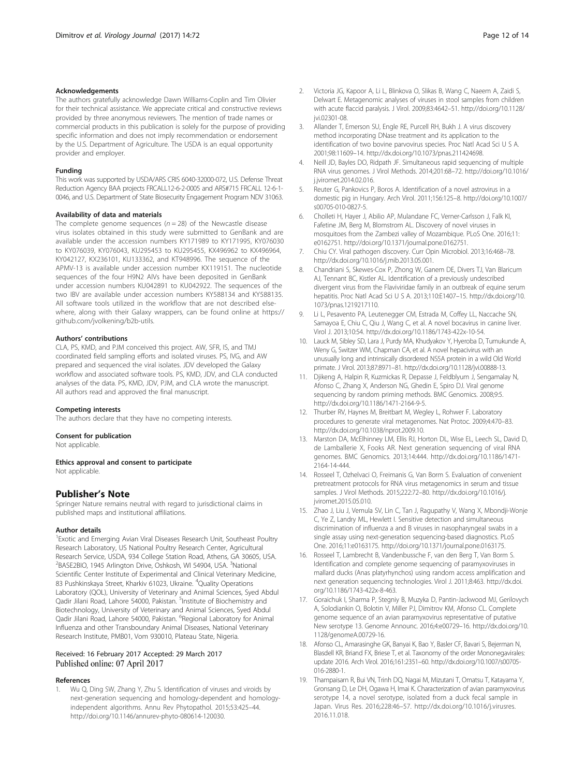#### <span id="page-11-0"></span>Acknowledgements

The authors gratefully acknowledge Dawn Williams-Coplin and Tim Olivier for their technical assistance. We appreciate critical and constructive reviews provided by three anonymous reviewers. The mention of trade names or commercial products in this publication is solely for the purpose of providing specific information and does not imply recommendation or endorsement by the U.S. Department of Agriculture. The USDA is an equal opportunity provider and employer.

#### Funding

This work was supported by USDA/ARS CRIS 6040-32000-072, U.S. Defense Threat Reduction Agency BAA projects FRCALL12-6-2-0005 and ARS#715 FRCALL 12-6-1- 0046, and U.S. Department of State Biosecurity Engagement Program NDV 31063.

#### Availability of data and materials

The complete genome sequences ( $n = 28$ ) of the Newcastle disease virus isolates obtained in this study were submitted to GenBank and are available under the accession numbers KY171989 to KY171995, KY076030 to KY076039, KY076043, KU295453 to KU295455, KX496962 to KX496964, KY042127, KX236101, KU133362, and KT948996. The sequence of the APMV-13 is available under accession number KX119151. The nucleotide sequences of the four H9N2 AIVs have been deposited in GenBank under accession numbers KU042891 to KU042922. The sequences of the two IBV are available under accession numbers KY588134 and KY588135. All software tools utilized in the workflow that are not described elsewhere, along with their Galaxy wrappers, can be found online at [https://](https://github.com/jvolkening/b2b-utils) [github.com/jvolkening/b2b-utils.](https://github.com/jvolkening/b2b-utils)

#### Authors' contributions

CLA, PS, KMD, and PJM conceived this project. AW, SFR, IS, and TMJ coordinated field sampling efforts and isolated viruses. PS, IVG, and AW prepared and sequenced the viral isolates. JDV developed the Galaxy workflow and associated software tools. PS, KMD, JDV, and CLA conducted analyses of the data. PS, KMD, JDV, PJM, and CLA wrote the manuscript. All authors read and approved the final manuscript.

#### Competing interests

The authors declare that they have no competing interests.

#### Consent for publication

Not applicable.

#### Ethics approval and consent to participate

Not applicable.

## Publisher's Note

Springer Nature remains neutral with regard to jurisdictional claims in published maps and institutional affiliations.

#### Author details

<sup>1</sup> Exotic and Emerging Avian Viral Diseases Research Unit, Southeast Poultry Research Laboratory, US National Poultry Research Center, Agricultural Research Service, USDA, 934 College Station Road, Athens, GA 30605, USA. <sup>2</sup>BASE2BIO, 1945 Arlington Drive, Oshkosh, WI 54904, USA. <sup>3</sup>National Scientific Center Institute of Experimental and Clinical Veterinary Medicine, 83 Pushkinskaya Street, Kharkiv 61023, Ukraine. <sup>4</sup>Quality Operations Laboratory (QOL), University of Veterinary and Animal Sciences, Syed Abdul Qadir Jilani Road, Lahore 54000, Pakistan. <sup>5</sup>Institute of Biochemistry and Biotechnology, University of Veterinary and Animal Sciences, Syed Abdul Qadir Jilani Road, Lahore 54000, Pakistan. <sup>6</sup>Regional Laboratory for Animal Influenza and other Transboundary Animal Diseases, National Veterinary Research Institute, PMB01, Vom 930010, Plateau State, Nigeria.

#### Received: 16 February 2017 Accepted: 29 March 2017 Published online: 07 April 2017

#### References

1. Wu Q, Ding SW, Zhang Y, Zhu S. Identification of viruses and viroids by next-generation sequencing and homology-dependent and homologyindependent algorithms. Annu Rev Phytopathol. 2015;53:425–44. [http://doi.org/10.1146/annurev-phyto-080614-120030.](http://doi.org/10.1146/annurev-phyto-080614-120030)

- 2. Victoria JG, Kapoor A, Li L, Blinkova O, Slikas B, Wang C, Naeem A, Zaidi S, Delwart E. Metagenomic analyses of viruses in stool samples from children with acute flaccid paralysis. J Virol. 2009;83:4642–51. [http://doi.org/10.1128/](http://doi.org/10.1128/jvi.02301-08) [jvi.02301-08](http://doi.org/10.1128/jvi.02301-08).
- 3. Allander T, Emerson SU, Engle RE, Purcell RH, Bukh J. A virus discovery method incorporating DNase treatment and its application to the identification of two bovine parvovirus species. Proc Natl Acad Sci U S A. 2001;98:11609–14.<http://dx.doi.org/10.1073/pnas.211424698>.
- 4. Neill JD, Bayles DO, Ridpath JF. Simultaneous rapid sequencing of multiple RNA virus genomes. J Virol Methods. 2014;201:68–72. [http://doi.org/10.1016/](http://doi.org/10.1016/j.jviromet.2014.02.016) [j.jviromet.2014.02.016](http://doi.org/10.1016/j.jviromet.2014.02.016).
- 5. Reuter G, Pankovics P, Boros A. Identification of a novel astrovirus in a domestic pig in Hungary. Arch Virol. 2011;156:125–8. [http://doi.org/10.1007/](http://doi.org/10.1007/s00705-010-0827-5) [s00705-010-0827-5.](http://doi.org/10.1007/s00705-010-0827-5)
- 6. Cholleti H, Hayer J, Abilio AP, Mulandane FC, Verner-Carlsson J, Falk KI, Fafetine JM, Berg M, Blomstrom AL. Discovery of novel viruses in mosquitoes from the Zambezi valley of Mozambique. PLoS One. 2016;11: e0162751. [http://doi.org/10.1371/journal.pone.0162751.](http://doi.org/10.1371/journal.pone.0162751)
- 7. Chiu CY. Viral pathogen discovery. Curr Opin Microbiol. 2013;16:468–78. [http://dx.doi.org/10.1016/j.mib.2013.05.001.](http://dx.doi.org/10.1016/j.mib.2013.05.001)
- 8. Chandriani S, Skewes-Cox P, Zhong W, Ganem DE, Divers TJ, Van Blaricum AJ, Tennant BC, Kistler AL. Identification of a previously undescribed divergent virus from the Flaviviridae family in an outbreak of equine serum hepatitis. Proc Natl Acad Sci U S A. 2013;110:E1407–15. [http://dx.doi.org/10.](http://dx.doi.org/10.1073/pnas.1219217110) [1073/pnas.1219217110.](http://dx.doi.org/10.1073/pnas.1219217110)
- 9. Li L, Pesavento PA, Leutenegger CM, Estrada M, Coffey LL, Naccache SN, Samayoa E, Chiu C, Qiu J, Wang C, et al. A novel bocavirus in canine liver. Virol J. 2013;10:54. [http://dx.doi.org/10.1186/1743-422x-10-54.](http://dx.doi.org/10.1186/1743-422x-10-54)
- 10. Lauck M, Sibley SD, Lara J, Purdy MA, Khudyakov Y, Hyeroba D, Tumukunde A, Weny G, Switzer WM, Chapman CA, et al. A novel hepacivirus with an unusually long and intrinsically disordered NS5A protein in a wild Old World primate. J Virol. 2013;87:8971–81.<http://dx.doi.org/10.1128/jvi.00888-13>.
- 11. Djikeng A, Halpin R, Kuzmickas R, Depasse J, Feldblyum J, Sengamalay N, Afonso C, Zhang X, Anderson NG, Ghedin E, Spiro DJ. Viral genome sequencing by random priming methods. BMC Genomics. 2008;9:5. [http://dx.doi.org/10.1186/1471-2164-9-5.](http://dx.doi.org/10.1186/1471-2164-9-5)
- 12. Thurber RV, Haynes M, Breitbart M, Wegley L, Rohwer F. Laboratory procedures to generate viral metagenomes. Nat Protoc. 2009;4:470–83. [http://dx.doi.org/10.1038/nprot.2009.10.](http://dx.doi.org/10.1038/nprot.2009.10)
- 13. Marston DA, McElhinney LM, Ellis RJ, Horton DL, Wise EL, Leech SL, David D, de Lamballerie X, Fooks AR. Next generation sequencing of viral RNA genomes. BMC Genomics. 2013;14:444. [http://dx.doi.org/10.1186/1471-](http://dx.doi.org/10.1186/1471-2164-14-444) [2164-14-444.](http://dx.doi.org/10.1186/1471-2164-14-444)
- 14. Rosseel T, Ozhelvaci O, Freimanis G, Van Borm S. Evaluation of convenient pretreatment protocols for RNA virus metagenomics in serum and tissue samples. J Virol Methods. 2015;222:72–80. [http://dx.doi.org/10.1016/j.](http://dx.doi.org/10.1016/j.jviromet.2015.05.010) [jviromet.2015.05.010](http://dx.doi.org/10.1016/j.jviromet.2015.05.010).
- 15. Zhao J, Liu J, Vemula SV, Lin C, Tan J, Ragupathy V, Wang X, Mbondji-Wonje C, Ye Z, Landry ML, Hewlett I. Sensitive detection and simultaneous discrimination of influenza a and B viruses in nasopharyngeal swabs in a single assay using next-generation sequencing-based diagnostics. PLoS One. 2016;11:e0163175. [http://doi.org/10.1371/journal.pone.0163175.](http://doi.org/10.1371/journal.pone.0163175)
- 16. Rosseel T, Lambrecht B, Vandenbussche F, van den Berg T, Van Borm S. Identification and complete genome sequencing of paramyxoviruses in mallard ducks (Anas platyrhynchos) using random access amplification and next generation sequencing technologies. Virol J. 2011;8:463. [http://dx.doi.](http://dx.doi.org/10.1186/1743-422x-8-463) [org/10.1186/1743-422x-8-463.](http://dx.doi.org/10.1186/1743-422x-8-463)
- 17. Goraichuk I, Sharma P, Stegniy B, Muzyka D, Pantin-Jackwood MJ, Gerilovych A, Solodiankin O, Bolotin V, Miller PJ, Dimitrov KM, Afonso CL. Complete genome sequence of an avian paramyxovirus representative of putative New serotype 13. Genome Announc. 2016;4:e00729–16. [http://dx.doi.org/10.](http://dx.doi.org/10.1128/genomeA.00729-16) [1128/genomeA.00729-16](http://dx.doi.org/10.1128/genomeA.00729-16).
- 18. Afonso CL, Amarasinghe GK, Banyai K, Bao Y, Basler CF, Bavari S, Bejerman N, Blasdell KR, Briand FX, Briese T, et al. Taxonomy of the order Mononegavirales: update 2016. Arch Virol. 2016;161:2351–60. [http://dx.doi.org/10.1007/s00705-](http://dx.doi.org/10.1007/s00705-016-2880-1) [016-2880-1](http://dx.doi.org/10.1007/s00705-016-2880-1).
- 19. Thampaisarn R, Bui VN, Trinh DQ, Nagai M, Mizutani T, Omatsu T, Katayama Y, Gronsang D, Le DH, Ogawa H, Imai K. Characterization of avian paramyxovirus serotype 14, a novel serotype, isolated from a duck fecal sample in Japan. Virus Res. 2016;228:46–57. [http://dx.doi.org/10.1016/j.virusres.](http://dx.doi.org/10.1016/j.virusres.2016.11.018) [2016.11.018](http://dx.doi.org/10.1016/j.virusres.2016.11.018).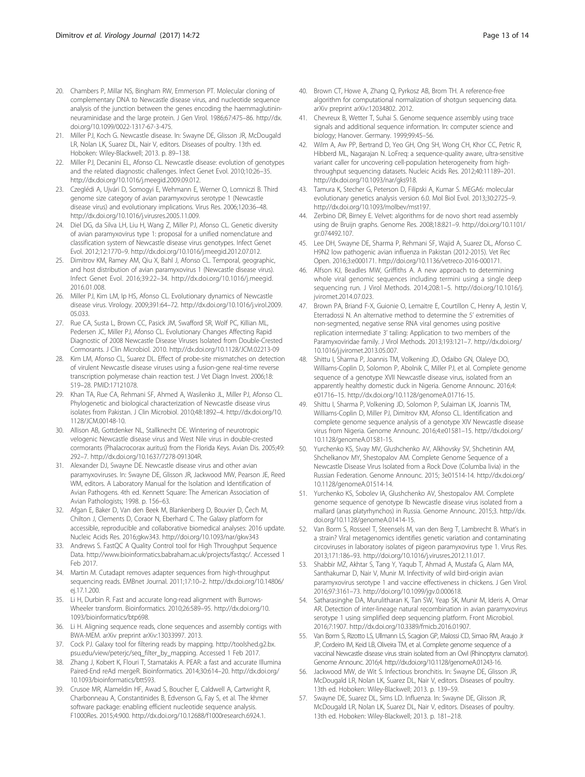- <span id="page-12-0"></span>20. Chambers P, Millar NS, Bingham RW, Emmerson PT. Molecular cloning of complementary DNA to Newcastle disease virus, and nucleotide sequence analysis of the junction between the genes encoding the haemmaglutininneuraminidase and the large protein. J Gen Virol. 1986;67:475–86. [http://dx.](http://dx.doi.org/10.1099/0022-1317-67-3-475) [doi.org/10.1099/0022-1317-67-3-475](http://dx.doi.org/10.1099/0022-1317-67-3-475).
- 21. Miller PJ, Koch G. Newcastle disease. In: Swayne DE, Glisson JR, McDougald LR, Nolan LK, Suarez DL, Nair V, editors. Diseases of poultry. 13th ed. Hoboken: Wiley-Blackwell; 2013. p. 89–138.
- 22. Miller PJ, Decanini EL, Afonso CL. Newcastle disease: evolution of genotypes and the related diagnostic challenges. Infect Genet Evol. 2010;10:26–35. <http://dx.doi.org/10.1016/j.meegid.2009.09.012>.
- 23. Czeglédi A, Ujvári D, Somogyi E, Wehmann E, Werner O, Lomniczi B. Third genome size category of avian paramyxovirus serotype 1 (Newcastle disease virus) and evolutionary implications. Virus Res. 2006;120:36–48. [http://dx.doi.org/10.1016/j.virusres.2005.11.009.](http://dx.doi.org/10.1016/j.virusres.2005.11.009)
- 24. Diel DG, da Silva LH, Liu H, Wang Z, Miller PJ, Afonso CL. Genetic diversity of avian paramyxovirus type 1: proposal for a unified nomenclature and classification system of Newcastle disease virus genotypes. Infect Genet Evol. 2012;12:1770–9. [http://dx.doi.org/10.1016/j.meegid.2012.07.012.](http://dx.doi.org/10.1016/j.meegid.2012.07.012)
- 25. Dimitrov KM, Ramey AM, Qiu X, Bahl J, Afonso CL. Temporal, geographic, and host distribution of avian paramyxovirus 1 (Newcastle disease virus). Infect Genet Evol. 2016;39:22–34. [http://dx.doi.org/10.1016/j.meegid.](http://dx.doi.org/10.1016/j.meegid.2016.01.008) [2016.01.008](http://dx.doi.org/10.1016/j.meegid.2016.01.008).
- 26. Miller PJ, Kim LM, Ip HS, Afonso CL. Evolutionary dynamics of Newcastle disease virus. Virology. 2009;391:64–72. [http://dx.doi.org/10.1016/j.virol.2009.](http://dx.doi.org/10.1016/j.virol.2009.05.033) [05.033.](http://dx.doi.org/10.1016/j.virol.2009.05.033)
- 27. Rue CA, Susta L, Brown CC, Pasick JM, Swafford SR, Wolf PC, Killian ML, Pedersen JC, Miller PJ, Afonso CL. Evolutionary Changes Affecting Rapid Diagnostic of 2008 Newcastle Disease Viruses Isolated from Double-Crested Cormorants. J Clin Microbiol. 2010. http://dx.doi.org[/10.1128/JCM.02213-09](http://dx.doi.org/10.1128/JCM.02213-09)
- 28. Kim LM, Afonso CL, Suarez DL. Effect of probe-site mismatches on detection of virulent Newcastle disease viruses using a fusion-gene real-time reverse transcription polymerase chain reaction test. J Vet Diagn Invest. 2006;18: 519–28. PMID:17121078.
- 29. Khan TA, Rue CA, Rehmani SF, Ahmed A, Wasilenko JL, Miller PJ, Afonso CL. Phylogenetic and biological characterization of Newcastle disease virus isolates from Pakistan. J Clin Microbiol. 2010;48:1892–4. [http://dx.doi.org/10.](http://dx.doi.org/10.1128/JCM.00148-10) [1128/JCM.00148-10.](http://dx.doi.org/10.1128/JCM.00148-10)
- 30. Allison AB, Gottdenker NL, Stallknecht DE. Wintering of neurotropic velogenic Newcastle disease virus and West Nile virus in double-crested cormorants (Phalacrocorax auritus) from the Florida Keys. Avian Dis. 2005;49: 292–7. [http://dx.doi.org/10.1637/7278-091304R.](http://dx.doi.org/10.1637/7278-091304R)
- 31. Alexander DJ, Swayne DE. Newcastle disease virus and other avian paramyxoviruses. In: Swayne DE, Glisson JR, Jackwood MW, Pearson JE, Reed WM, editors. A Laboratory Manual for the Isolation and Identification of Avian Pathogens. 4th ed. Kennett Square: The American Association of Avian Pathologists; 1998. p. 156–63.
- 32. Afgan E, Baker D, Van den Beek M, Blankenberg D, Bouvier D, Čech M, Chilton J, Clements D, Coraor N, Eberhard C. The Galaxy platform for accessible, reproducible and collaborative biomedical analyses: 2016 update. Nucleic Acids Res. 2016;gkw343.<http://doi.org/10.1093/nar/gkw343>
- 33. Andrews S. FastQC A Quality Control tool for High Throughput Sequence Data.<http://www.bioinformatics.babraham.ac.uk/projects/fastqc/>. Accessed 1 Feb 2017.
- 34. Martin M. Cutadapt removes adapter sequences from high-throughput sequencing reads. EMBnet Journal. 2011;17:10–2. [http://dx.doi.org/10.14806/](http://dx.doi.org/10.14806/ej.17.1.200) [ej.17.1.200.](http://dx.doi.org/10.14806/ej.17.1.200)
- 35. Li H, Durbin R. Fast and accurate long-read alignment with Burrows-Wheeler transform. Bioinformatics. 2010;26:589–95. [http://dx.doi.org/10.](http://dx.doi.org/10.1093/bioinformatics/btp698) [1093/bioinformatics/btp698.](http://dx.doi.org/10.1093/bioinformatics/btp698)
- 36. Li H. Aligning sequence reads, clone sequences and assembly contigs with BWA-MEM. arXiv preprint arXiv:13033997. 2013.
- 37. Cock PJ. Galaxy tool for filtering reads by mapping. [http://toolshed.g2.bx.](http://toolshed.g2.bx.psu.edu/view/peterjc/seq_filter_by_mapping) [psu.edu/view/peterjc/seq\\_filter\\_by\\_mapping.](http://toolshed.g2.bx.psu.edu/view/peterjc/seq_filter_by_mapping) Accessed 1 Feb 2017.
- 38. Zhang J, Kobert K, Flouri T, Stamatakis A. PEAR: a fast and accurate Illumina Paired-End reAd mergeR. Bioinformatics. 2014;30:614–20. [http://dx.doi.org/](http://dx.doi.org/10.1093/bioinformatics/btt593) [10.1093/bioinformatics/btt593](http://dx.doi.org/10.1093/bioinformatics/btt593).
- 39. Crusoe MR, Alameldin HF, Awad S, Boucher E, Caldwell A, Cartwright R, Charbonneau A, Constantinides B, Edvenson G, Fay S, et al. The khmer software package: enabling efficient nucleotide sequence analysis. F1000Res. 2015;4:900.<http://dx.doi.org/10.12688/f1000research.6924.1>.
- 40. Brown CT, Howe A, Zhang Q, Pyrkosz AB, Brom TH. A reference-free algorithm for computational normalization of shotgun sequencing data. arXiv preprint arXiv:12034802. 2012.
- 41. Chevreux B, Wetter T, Suhai S. Genome sequence assembly using trace signals and additional sequence information. In: computer science and biology; Hanover. Germany. 1999;99:45–56.
- 42. Wilm A, Aw PP, Bertrand D, Yeo GH, Ong SH, Wong CH, Khor CC, Petric R, Hibberd ML, Nagarajan N. LoFreq: a sequence-quality aware, ultra-sensitive variant caller for uncovering cell-population heterogeneity from highthroughput sequencing datasets. Nucleic Acids Res. 2012;40:11189–201. [http://dx.doi.org/10.1093/nar/gks918.](http://dx.doi.org/10.1093/nar/gks918)
- 43. Tamura K, Stecher G, Peterson D, Filipski A, Kumar S. MEGA6: molecular evolutionary genetics analysis version 6.0. Mol Biol Evol. 2013;30:2725–9. <http://dx.doi.org/10.1093/molbev/mst197>.
- 44. Zerbino DR, Birney E. Velvet: algorithms for de novo short read assembly using de Bruijn graphs. Genome Res. 2008;18:821–9. [http://doi.org/10.1101/](http://doi.org/10.1101/gr.074492.107) [gr.074492.107.](http://doi.org/10.1101/gr.074492.107)
- 45. Lee DH, Swayne DE, Sharma P, Rehmani SF, Wajid A, Suarez DL, Afonso C. H9N2 low pathogenic avian influenza in Pakistan (2012-2015). Vet Rec Open. 2016;3:e000171. [http://doi.org/10.1136/vetreco-2016-000171.](http://doi.org/10.1136/vetreco-2016-000171)
- 46. Alfson KJ, Beadles MW, Griffiths A. A new approach to determining whole viral genomic sequences including termini using a single deep sequencing run. J Virol Methods. 2014;208:1–5. [http://doi.org/10.1016/j.](http://doi.org/10.1016/j.jviromet.2014.07.023) [jviromet.2014.07.023](http://doi.org/10.1016/j.jviromet.2014.07.023).
- 47. Brown PA, Briand F-X, Guionie O, Lemaitre E, Courtillon C, Henry A, Jestin V, Eterradossi N. An alternative method to determine the 5' extremities of non-segmented, negative sense RNA viral genomes using positive replication intermediate 3' tailing: Application to two members of the Paramyxoviridae family. J Virol Methods. 2013;193:121–7. [http://dx.doi.org/](http://dx.doi.org/10.1016/j.jviromet.2013.05.007) [10.1016/j.jviromet.2013.05.007](http://dx.doi.org/10.1016/j.jviromet.2013.05.007).
- 48. Shittu I, Sharma P, Joannis TM, Volkening JD, Odaibo GN, Olaleye DO, Williams-Coplin D, Solomon P, Abolnik C, Miller PJ, et al. Complete genome sequence of a genotype XVII Newcastle disease virus, isolated from an apparently healthy domestic duck in Nigeria. Genome Announc. 2016;4: e01716–15. [http://dx.doi.org/10.1128/genomeA.01716-15.](http://dx.doi.org/10.1128/genomeA.01716-15)
- 49. Shittu I, Sharma P, Volkening JD, Solomon P, Sulaiman LK, Joannis TM, Williams-Coplin D, Miller PJ, Dimitrov KM, Afonso CL. Identification and complete genome sequence analysis of a genotype XIV Newcastle disease virus from Nigeria. Genome Announc. 2016;4:e01581–15. [http://dx.doi.org/](http://dx.doi.org/10.1128/genomeA.01581-15) [10.1128/genomeA.01581-15](http://dx.doi.org/10.1128/genomeA.01581-15).
- 50. Yurchenko KS, Sivay MV, Glushchenko AV, Alkhovsky SV, Shchetinin AM, Shchelkanov MY, Shestopalov AM. Complete Genome Sequence of a Newcastle Disease Virus Isolated from a Rock Dove (Columba livia) in the Russian Federation. Genome Announc. 2015; 3e01514-14. [http://dx.doi.org/](http://dx.doi.org/10.1128/genomeA.01514-14) [10.1128/genomeA.01514-14](http://dx.doi.org/10.1128/genomeA.01514-14).
- 51. Yurchenko KS, Sobolev IA, Glushchenko AV, Shestopalov AM. Complete genome sequence of genotype Ib Newcastle disease virus isolated from a mallard (anas platyrhynchos) in Russia. Genome Announc. 2015;3. [http://dx.](http://dx.doi.org/10.1128/genomeA.01414-15) [doi.org/10.1128/genomeA.01414-15.](http://dx.doi.org/10.1128/genomeA.01414-15)
- 52. Van Borm S, Rosseel T, Steensels M, van den Berg T, Lambrecht B. What's in a strain? Viral metagenomics identifies genetic variation and contaminating circoviruses in laboratory isolates of pigeon paramyxovirus type 1. Virus Res. 2013;171:186–93. [http://doi.org/10.1016/j.virusres.2012.11.017.](http://doi.org/10.1016/j.virusres.2012.11.017)
- 53. Shabbir MZ, Akhtar S, Tang Y, Yaqub T, Ahmad A, Mustafa G, Alam MA, Santhakumar D, Nair V, Munir M. Infectivity of wild bird-origin avian paramyxovirus serotype 1 and vaccine effectiveness in chickens. J Gen Virol. 2016;97:3161–73.<http://doi.org/10.1099/jgv.0.000618>.
- 54. Satharasinghe DA, Murulitharan K, Tan SW, Yeap SK, Munir M, Ideris A, Omar AR. Detection of inter-lineage natural recombination in avian paramyxovirus serotype 1 using simplified deep sequencing platform. Front Microbiol. 2016;7:1907. [http://dx.doi.org/10.3389/fmicb.2016.01907.](http://dx.doi.org/10.3389/fmicb.2016.01907)
- 55. Van Borm S, Rizotto LS, Ullmann LS, Scagion GP, Malossi CD, Simao RM, Araujo Jr JP, Cordeiro IM, Keid LB, Oliveira TM, et al. Complete genome sequence of a vaccinal Newcastle disease virus strain isolated from an Owl (Rhinoptynx clamator). Genome Announc. 2016;4. [http://dx.doi.org/10.1128/genomeA.01243-16.](http://dx.doi.org/10.1128/genomeA.01243-16)
- 56. Jackwood MW, de Wit S. Infectious bronchitis. In: Swayne DE, Glisson JR, McDougald LR, Nolan LK, Suarez DL, Nair V, editors. Diseases of poultry. 13th ed. Hoboken: Wiley-Blackwell; 2013. p. 139–59.
- 57. Swayne DE, Suarez DL, Sims LD. Influenza. In: Swayne DE, Glisson JR, McDougald LR, Nolan LK, Suarez DL, Nair V, editors. Diseases of poultry. 13th ed. Hoboken: Wiley-Blackwell; 2013. p. 181–218.